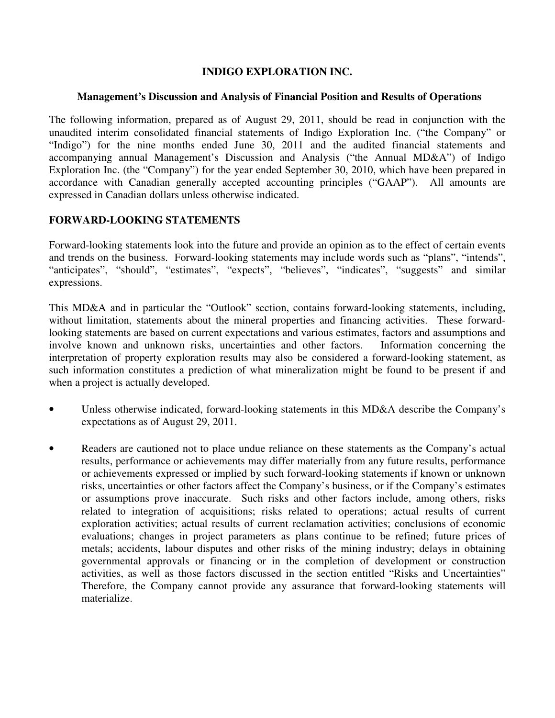# **INDIGO EXPLORATION INC.**

#### **Management's Discussion and Analysis of Financial Position and Results of Operations**

The following information, prepared as of August 29, 2011, should be read in conjunction with the unaudited interim consolidated financial statements of Indigo Exploration Inc. ("the Company" or "Indigo") for the nine months ended June 30, 2011 and the audited financial statements and accompanying annual Management's Discussion and Analysis ("the Annual MD&A") of Indigo Exploration Inc. (the "Company") for the year ended September 30, 2010, which have been prepared in accordance with Canadian generally accepted accounting principles ("GAAP"). All amounts are expressed in Canadian dollars unless otherwise indicated.

# **FORWARD-LOOKING STATEMENTS**

Forward-looking statements look into the future and provide an opinion as to the effect of certain events and trends on the business. Forward-looking statements may include words such as "plans", "intends", "anticipates", "should", "estimates", "expects", "believes", "indicates", "suggests" and similar expressions.

This MD&A and in particular the "Outlook" section, contains forward-looking statements, including, without limitation, statements about the mineral properties and financing activities. These forwardlooking statements are based on current expectations and various estimates, factors and assumptions and involve known and unknown risks, uncertainties and other factors. Information concerning the interpretation of property exploration results may also be considered a forward-looking statement, as such information constitutes a prediction of what mineralization might be found to be present if and when a project is actually developed.

- Unless otherwise indicated, forward-looking statements in this MD&A describe the Company's expectations as of August 29, 2011.
- Readers are cautioned not to place undue reliance on these statements as the Company's actual results, performance or achievements may differ materially from any future results, performance or achievements expressed or implied by such forward-looking statements if known or unknown risks, uncertainties or other factors affect the Company's business, or if the Company's estimates or assumptions prove inaccurate. Such risks and other factors include, among others, risks related to integration of acquisitions; risks related to operations; actual results of current exploration activities; actual results of current reclamation activities; conclusions of economic evaluations; changes in project parameters as plans continue to be refined; future prices of metals; accidents, labour disputes and other risks of the mining industry; delays in obtaining governmental approvals or financing or in the completion of development or construction activities, as well as those factors discussed in the section entitled "Risks and Uncertainties" Therefore, the Company cannot provide any assurance that forward-looking statements will materialize.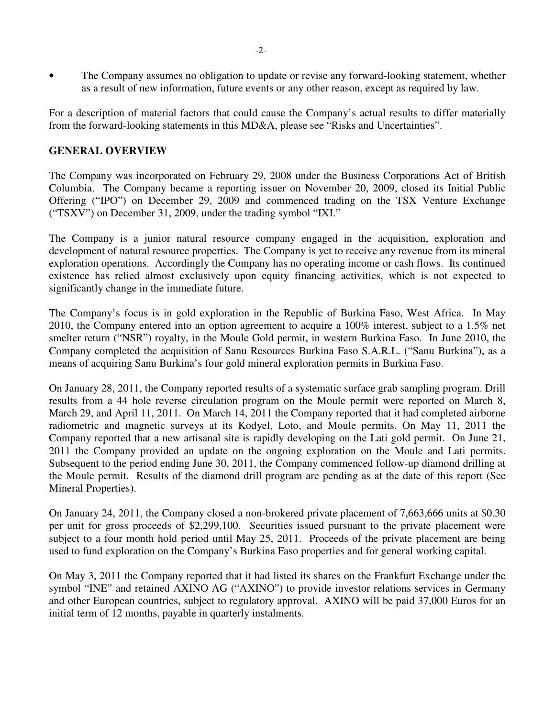• The Company assumes no obligation to update or revise any forward-looking statement, whether as a result of new information, future events or any other reason, except as required by law.

For a description of material factors that could cause the Company's actual results to differ materially from the forward-looking statements in this MD&A, please see "Risks and Uncertainties".

### **GENERAL OVERVIEW**

The Company was incorporated on February 29, 2008 under the Business Corporations Act of British Columbia. The Company became a reporting issuer on November 20, 2009, closed its Initial Public Offering ("IPO") on December 29, 2009 and commenced trading on the TSX Venture Exchange ("TSXV") on December 31, 2009, under the trading symbol "IXI."

The Company is a junior natural resource company engaged in the acquisition, exploration and development of natural resource properties. The Company is yet to receive any revenue from its mineral exploration operations. Accordingly the Company has no operating income or cash flows. Its continued existence has relied almost exclusively upon equity financing activities, which is not expected to significantly change in the immediate future.

The Company's focus is in gold exploration in the Republic of Burkina Faso, West Africa. In May 2010, the Company entered into an option agreement to acquire a 100% interest, subject to a 1.5% net smelter return ("NSR") royalty, in the Moule Gold permit, in western Burkina Faso. In June 2010, the Company completed the acquisition of Sanu Resources Burkina Faso S.A.R.L. ("Sanu Burkina"), as a means of acquiring Sanu Burkina's four gold mineral exploration permits in Burkina Faso.

On January 28, 2011, the Company reported results of a systematic surface grab sampling program. Drill results from a 44 hole reverse circulation program on the Moule permit were reported on March 8, March 29, and April 11, 2011. On March 14, 2011 the Company reported that it had completed airborne radiometric and magnetic surveys at its Kodyel, Loto, and Moule permits. On May 11, 2011 the Company reported that a new artisanal site is rapidly developing on the Lati gold permit. On June 21, 2011 the Company provided an update on the ongoing exploration on the Moule and Lati permits. Subsequent to the period ending June 30, 2011, the Company commenced follow-up diamond drilling at the Moule permit. Results of the diamond drill program are pending as at the date of this report (See Mineral Properties).

On January 24, 2011, the Company closed a non-brokered private placement of 7,663,666 units at \$0.30 per unit for gross proceeds of \$2,299,100. Securities issued pursuant to the private placement were subject to a four month hold period until May 25, 2011. Proceeds of the private placement are being used to fund exploration on the Company's Burkina Faso properties and for general working capital.

On May 3, 2011 the Company reported that it had listed its shares on the Frankfurt Exchange under the symbol "INE" and retained AXINO AG ("AXINO") to provide investor relations services in Germany and other European countries, subject to regulatory approval. AXINO will be paid 37,000 Euros for an initial term of 12 months, payable in quarterly instalments.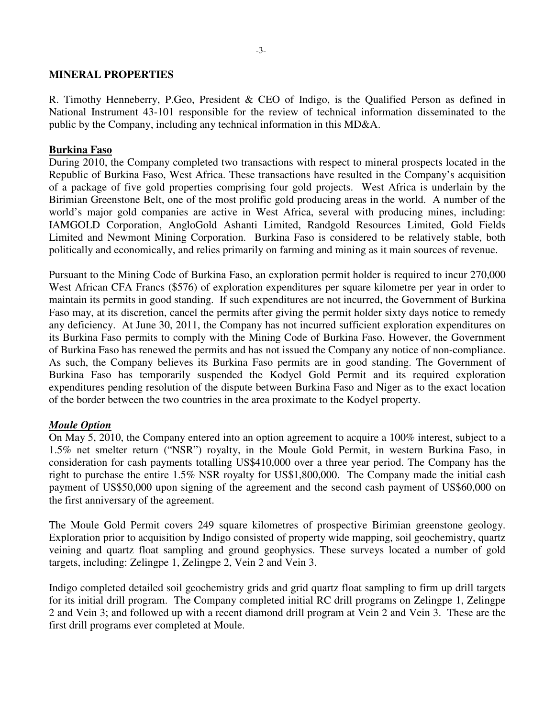#### **MINERAL PROPERTIES**

R. Timothy Henneberry, P.Geo, President & CEO of Indigo, is the Qualified Person as defined in National Instrument 43-101 responsible for the review of technical information disseminated to the public by the Company, including any technical information in this MD&A.

#### **Burkina Faso**

During 2010, the Company completed two transactions with respect to mineral prospects located in the Republic of Burkina Faso, West Africa. These transactions have resulted in the Company's acquisition of a package of five gold properties comprising four gold projects. West Africa is underlain by the Birimian Greenstone Belt, one of the most prolific gold producing areas in the world. A number of the world's major gold companies are active in West Africa, several with producing mines, including: IAMGOLD Corporation, AngloGold Ashanti Limited, Randgold Resources Limited, Gold Fields Limited and Newmont Mining Corporation. Burkina Faso is considered to be relatively stable, both politically and economically, and relies primarily on farming and mining as it main sources of revenue.

Pursuant to the Mining Code of Burkina Faso, an exploration permit holder is required to incur 270,000 West African CFA Francs (\$576) of exploration expenditures per square kilometre per year in order to maintain its permits in good standing. If such expenditures are not incurred, the Government of Burkina Faso may, at its discretion, cancel the permits after giving the permit holder sixty days notice to remedy any deficiency. At June 30, 2011, the Company has not incurred sufficient exploration expenditures on its Burkina Faso permits to comply with the Mining Code of Burkina Faso. However, the Government of Burkina Faso has renewed the permits and has not issued the Company any notice of non-compliance. As such, the Company believes its Burkina Faso permits are in good standing. The Government of Burkina Faso has temporarily suspended the Kodyel Gold Permit and its required exploration expenditures pending resolution of the dispute between Burkina Faso and Niger as to the exact location of the border between the two countries in the area proximate to the Kodyel property.

### *Moule Option*

On May 5, 2010, the Company entered into an option agreement to acquire a 100% interest, subject to a 1.5% net smelter return ("NSR") royalty, in the Moule Gold Permit, in western Burkina Faso, in consideration for cash payments totalling US\$410,000 over a three year period. The Company has the right to purchase the entire 1.5% NSR royalty for US\$1,800,000. The Company made the initial cash payment of US\$50,000 upon signing of the agreement and the second cash payment of US\$60,000 on the first anniversary of the agreement.

The Moule Gold Permit covers 249 square kilometres of prospective Birimian greenstone geology. Exploration prior to acquisition by Indigo consisted of property wide mapping, soil geochemistry, quartz veining and quartz float sampling and ground geophysics. These surveys located a number of gold targets, including: Zelingpe 1, Zelingpe 2, Vein 2 and Vein 3.

Indigo completed detailed soil geochemistry grids and grid quartz float sampling to firm up drill targets for its initial drill program. The Company completed initial RC drill programs on Zelingpe 1, Zelingpe 2 and Vein 3; and followed up with a recent diamond drill program at Vein 2 and Vein 3. These are the first drill programs ever completed at Moule.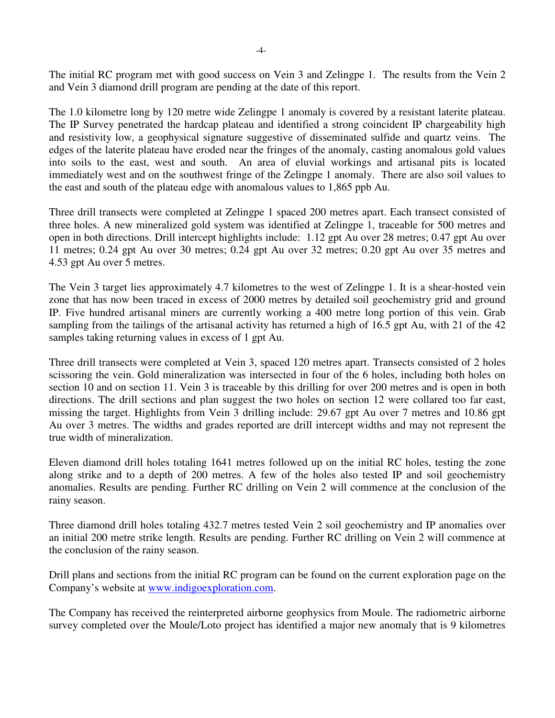The initial RC program met with good success on Vein 3 and Zelingpe 1. The results from the Vein 2 and Vein 3 diamond drill program are pending at the date of this report.

The 1.0 kilometre long by 120 metre wide Zelingpe 1 anomaly is covered by a resistant laterite plateau. The IP Survey penetrated the hardcap plateau and identified a strong coincident IP chargeability high and resistivity low, a geophysical signature suggestive of disseminated sulfide and quartz veins. The edges of the laterite plateau have eroded near the fringes of the anomaly, casting anomalous gold values into soils to the east, west and south. An area of eluvial workings and artisanal pits is located immediately west and on the southwest fringe of the Zelingpe 1 anomaly. There are also soil values to the east and south of the plateau edge with anomalous values to 1,865 ppb Au.

Three drill transects were completed at Zelingpe 1 spaced 200 metres apart. Each transect consisted of three holes. A new mineralized gold system was identified at Zelingpe 1, traceable for 500 metres and open in both directions. Drill intercept highlights include: 1.12 gpt Au over 28 metres; 0.47 gpt Au over 11 metres; 0.24 gpt Au over 30 metres; 0.24 gpt Au over 32 metres; 0.20 gpt Au over 35 metres and 4.53 gpt Au over 5 metres.

The Vein 3 target lies approximately 4.7 kilometres to the west of Zelingpe 1. It is a shear-hosted vein zone that has now been traced in excess of 2000 metres by detailed soil geochemistry grid and ground IP. Five hundred artisanal miners are currently working a 400 metre long portion of this vein. Grab sampling from the tailings of the artisanal activity has returned a high of 16.5 gpt Au, with 21 of the 42 samples taking returning values in excess of 1 gpt Au.

Three drill transects were completed at Vein 3, spaced 120 metres apart. Transects consisted of 2 holes scissoring the vein. Gold mineralization was intersected in four of the 6 holes, including both holes on section 10 and on section 11. Vein 3 is traceable by this drilling for over 200 metres and is open in both directions. The drill sections and plan suggest the two holes on section 12 were collared too far east, missing the target. Highlights from Vein 3 drilling include: 29.67 gpt Au over 7 metres and 10.86 gpt Au over 3 metres. The widths and grades reported are drill intercept widths and may not represent the true width of mineralization.

Eleven diamond drill holes totaling 1641 metres followed up on the initial RC holes, testing the zone along strike and to a depth of 200 metres. A few of the holes also tested IP and soil geochemistry anomalies. Results are pending. Further RC drilling on Vein 2 will commence at the conclusion of the rainy season.

Three diamond drill holes totaling 432.7 metres tested Vein 2 soil geochemistry and IP anomalies over an initial 200 metre strike length. Results are pending. Further RC drilling on Vein 2 will commence at the conclusion of the rainy season.

Drill plans and sections from the initial RC program can be found on the current exploration page on the Company's website at www.indigoexploration.com.

The Company has received the reinterpreted airborne geophysics from Moule. The radiometric airborne survey completed over the Moule/Loto project has identified a major new anomaly that is 9 kilometres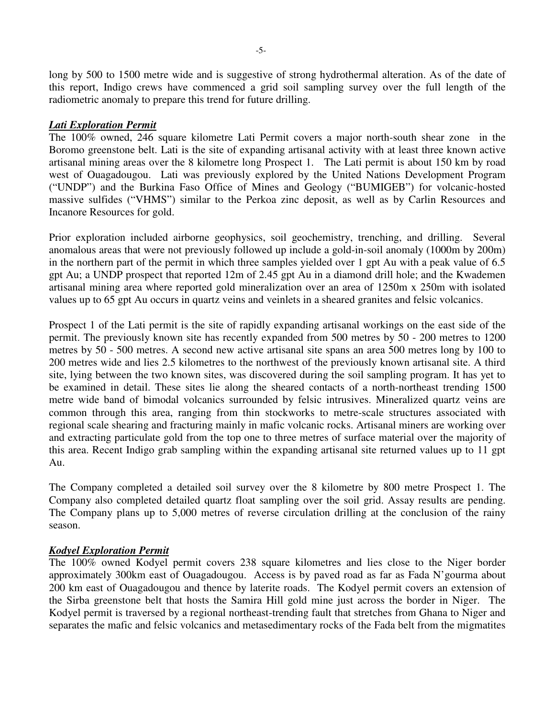long by 500 to 1500 metre wide and is suggestive of strong hydrothermal alteration. As of the date of this report, Indigo crews have commenced a grid soil sampling survey over the full length of the radiometric anomaly to prepare this trend for future drilling.

### *Lati Exploration Permit*

The 100% owned, 246 square kilometre Lati Permit covers a major north-south shear zone in the Boromo greenstone belt. Lati is the site of expanding artisanal activity with at least three known active artisanal mining areas over the 8 kilometre long Prospect 1. The Lati permit is about 150 km by road west of Ouagadougou. Lati was previously explored by the United Nations Development Program ("UNDP") and the Burkina Faso Office of Mines and Geology ("BUMIGEB") for volcanic-hosted massive sulfides ("VHMS") similar to the Perkoa zinc deposit, as well as by Carlin Resources and Incanore Resources for gold.

Prior exploration included airborne geophysics, soil geochemistry, trenching, and drilling. Several anomalous areas that were not previously followed up include a gold-in-soil anomaly (1000m by 200m) in the northern part of the permit in which three samples yielded over 1 gpt Au with a peak value of 6.5 gpt Au; a UNDP prospect that reported 12m of 2.45 gpt Au in a diamond drill hole; and the Kwademen artisanal mining area where reported gold mineralization over an area of 1250m x 250m with isolated values up to 65 gpt Au occurs in quartz veins and veinlets in a sheared granites and felsic volcanics.

Prospect 1 of the Lati permit is the site of rapidly expanding artisanal workings on the east side of the permit. The previously known site has recently expanded from 500 metres by 50 - 200 metres to 1200 metres by 50 - 500 metres. A second new active artisanal site spans an area 500 metres long by 100 to 200 metres wide and lies 2.5 kilometres to the northwest of the previously known artisanal site. A third site, lying between the two known sites, was discovered during the soil sampling program. It has yet to be examined in detail. These sites lie along the sheared contacts of a north-northeast trending 1500 metre wide band of bimodal volcanics surrounded by felsic intrusives. Mineralized quartz veins are common through this area, ranging from thin stockworks to metre-scale structures associated with regional scale shearing and fracturing mainly in mafic volcanic rocks. Artisanal miners are working over and extracting particulate gold from the top one to three metres of surface material over the majority of this area. Recent Indigo grab sampling within the expanding artisanal site returned values up to 11 gpt Au.

The Company completed a detailed soil survey over the 8 kilometre by 800 metre Prospect 1. The Company also completed detailed quartz float sampling over the soil grid. Assay results are pending. The Company plans up to 5,000 metres of reverse circulation drilling at the conclusion of the rainy season.

### *Kodyel Exploration Permit*

The 100% owned Kodyel permit covers 238 square kilometres and lies close to the Niger border approximately 300km east of Ouagadougou. Access is by paved road as far as Fada N'gourma about 200 km east of Ouagadougou and thence by laterite roads. The Kodyel permit covers an extension of the Sirba greenstone belt that hosts the Samira Hill gold mine just across the border in Niger. The Kodyel permit is traversed by a regional northeast-trending fault that stretches from Ghana to Niger and separates the mafic and felsic volcanics and metasedimentary rocks of the Fada belt from the migmatites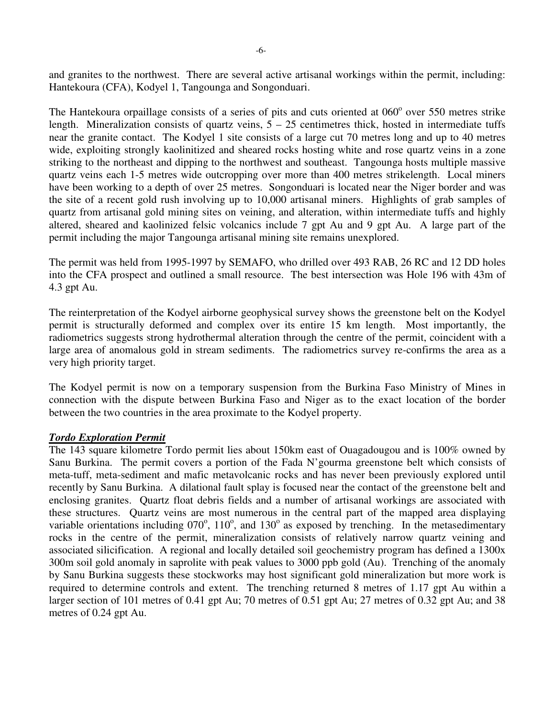and granites to the northwest. There are several active artisanal workings within the permit, including: Hantekoura (CFA), Kodyel 1, Tangounga and Songonduari.

The Hantekoura orpaillage consists of a series of pits and cuts oriented at 060° over 550 metres strike length. Mineralization consists of quartz veins,  $5 - 25$  centimetres thick, hosted in intermediate tuffs near the granite contact. The Kodyel 1 site consists of a large cut 70 metres long and up to 40 metres wide, exploiting strongly kaolinitized and sheared rocks hosting white and rose quartz veins in a zone striking to the northeast and dipping to the northwest and southeast. Tangounga hosts multiple massive quartz veins each 1-5 metres wide outcropping over more than 400 metres strikelength. Local miners have been working to a depth of over 25 metres. Songonduari is located near the Niger border and was the site of a recent gold rush involving up to 10,000 artisanal miners. Highlights of grab samples of quartz from artisanal gold mining sites on veining, and alteration, within intermediate tuffs and highly altered, sheared and kaolinized felsic volcanics include 7 gpt Au and 9 gpt Au. A large part of the permit including the major Tangounga artisanal mining site remains unexplored.

The permit was held from 1995-1997 by SEMAFO, who drilled over 493 RAB, 26 RC and 12 DD holes into the CFA prospect and outlined a small resource. The best intersection was Hole 196 with 43m of 4.3 gpt Au.

The reinterpretation of the Kodyel airborne geophysical survey shows the greenstone belt on the Kodyel permit is structurally deformed and complex over its entire 15 km length. Most importantly, the radiometrics suggests strong hydrothermal alteration through the centre of the permit, coincident with a large area of anomalous gold in stream sediments. The radiometrics survey re-confirms the area as a very high priority target.

The Kodyel permit is now on a temporary suspension from the Burkina Faso Ministry of Mines in connection with the dispute between Burkina Faso and Niger as to the exact location of the border between the two countries in the area proximate to the Kodyel property.

### *Tordo Exploration Permit*

The 143 square kilometre Tordo permit lies about 150km east of Ouagadougou and is 100% owned by Sanu Burkina. The permit covers a portion of the Fada N'gourma greenstone belt which consists of meta-tuff, meta-sediment and mafic metavolcanic rocks and has never been previously explored until recently by Sanu Burkina. A dilational fault splay is focused near the contact of the greenstone belt and enclosing granites. Quartz float debris fields and a number of artisanal workings are associated with these structures. Quartz veins are most numerous in the central part of the mapped area displaying variable orientations including  $070^{\circ}$ ,  $110^{\circ}$ , and  $130^{\circ}$  as exposed by trenching. In the metasedimentary rocks in the centre of the permit, mineralization consists of relatively narrow quartz veining and associated silicification. A regional and locally detailed soil geochemistry program has defined a 1300x 300m soil gold anomaly in saprolite with peak values to 3000 ppb gold (Au). Trenching of the anomaly by Sanu Burkina suggests these stockworks may host significant gold mineralization but more work is required to determine controls and extent. The trenching returned 8 metres of 1.17 gpt Au within a larger section of 101 metres of 0.41 gpt Au; 70 metres of 0.51 gpt Au; 27 metres of 0.32 gpt Au; and 38 metres of 0.24 gpt Au.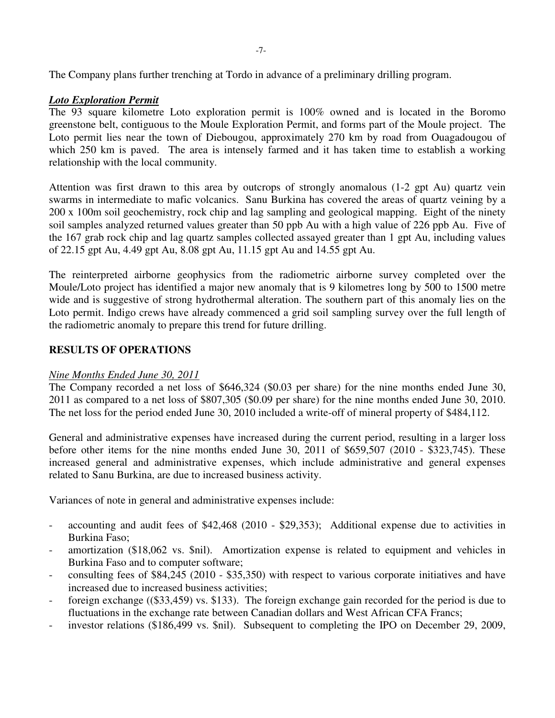The Company plans further trenching at Tordo in advance of a preliminary drilling program.

# *Loto Exploration Permit*

The 93 square kilometre Loto exploration permit is 100% owned and is located in the Boromo greenstone belt, contiguous to the Moule Exploration Permit, and forms part of the Moule project. The Loto permit lies near the town of Diebougou, approximately 270 km by road from Ouagadougou of which 250 km is paved. The area is intensely farmed and it has taken time to establish a working relationship with the local community.

Attention was first drawn to this area by outcrops of strongly anomalous (1-2 gpt Au) quartz vein swarms in intermediate to mafic volcanics. Sanu Burkina has covered the areas of quartz veining by a 200 x 100m soil geochemistry, rock chip and lag sampling and geological mapping. Eight of the ninety soil samples analyzed returned values greater than 50 ppb Au with a high value of 226 ppb Au. Five of the 167 grab rock chip and lag quartz samples collected assayed greater than 1 gpt Au, including values of 22.15 gpt Au, 4.49 gpt Au, 8.08 gpt Au, 11.15 gpt Au and 14.55 gpt Au.

The reinterpreted airborne geophysics from the radiometric airborne survey completed over the Moule/Loto project has identified a major new anomaly that is 9 kilometres long by 500 to 1500 metre wide and is suggestive of strong hydrothermal alteration. The southern part of this anomaly lies on the Loto permit. Indigo crews have already commenced a grid soil sampling survey over the full length of the radiometric anomaly to prepare this trend for future drilling.

# **RESULTS OF OPERATIONS**

### *Nine Months Ended June 30, 2011*

The Company recorded a net loss of \$646,324 (\$0.03 per share) for the nine months ended June 30, 2011 as compared to a net loss of \$807,305 (\$0.09 per share) for the nine months ended June 30, 2010. The net loss for the period ended June 30, 2010 included a write-off of mineral property of \$484,112.

General and administrative expenses have increased during the current period, resulting in a larger loss before other items for the nine months ended June 30, 2011 of \$659,507 (2010 - \$323,745). These increased general and administrative expenses, which include administrative and general expenses related to Sanu Burkina, are due to increased business activity.

Variances of note in general and administrative expenses include:

- accounting and audit fees of \$42,468 (2010 \$29,353); Additional expense due to activities in Burkina Faso;
- amortization (\$18,062 vs. \$nil). Amortization expense is related to equipment and vehicles in Burkina Faso and to computer software;
- consulting fees of \$84,245 (2010 \$35,350) with respect to various corporate initiatives and have increased due to increased business activities;
- foreign exchange ((\$33,459) vs. \$133). The foreign exchange gain recorded for the period is due to fluctuations in the exchange rate between Canadian dollars and West African CFA Francs;
- investor relations (\$186,499 vs. \$nil). Subsequent to completing the IPO on December 29, 2009,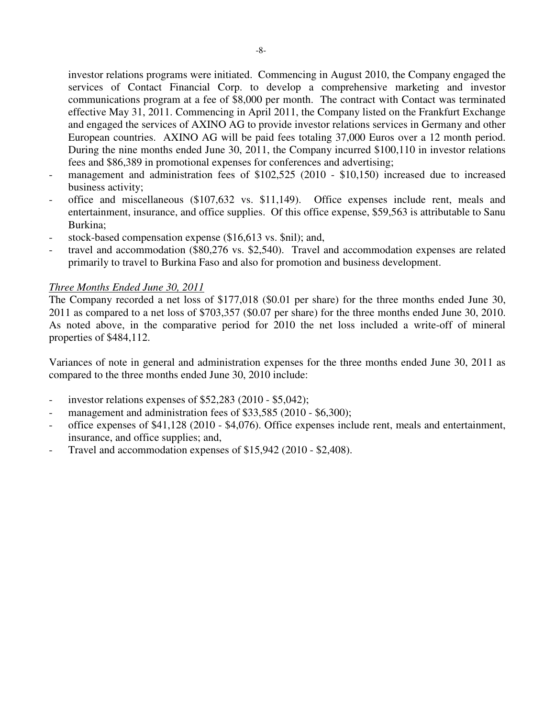investor relations programs were initiated. Commencing in August 2010, the Company engaged the services of Contact Financial Corp. to develop a comprehensive marketing and investor communications program at a fee of \$8,000 per month. The contract with Contact was terminated effective May 31, 2011. Commencing in April 2011, the Company listed on the Frankfurt Exchange and engaged the services of AXINO AG to provide investor relations services in Germany and other European countries. AXINO AG will be paid fees totaling 37,000 Euros over a 12 month period. During the nine months ended June 30, 2011, the Company incurred \$100,110 in investor relations fees and \$86,389 in promotional expenses for conferences and advertising;

- management and administration fees of \$102,525 (2010 \$10,150) increased due to increased business activity;
- office and miscellaneous (\$107,632 vs. \$11,149). Office expenses include rent, meals and entertainment, insurance, and office supplies. Of this office expense, \$59,563 is attributable to Sanu Burkina;
- stock-based compensation expense (\$16,613 vs. \$nil); and,
- travel and accommodation (\$80,276 vs. \$2,540). Travel and accommodation expenses are related primarily to travel to Burkina Faso and also for promotion and business development.

### *Three Months Ended June 30, 2011*

The Company recorded a net loss of \$177,018 (\$0.01 per share) for the three months ended June 30, 2011 as compared to a net loss of \$703,357 (\$0.07 per share) for the three months ended June 30, 2010. As noted above, in the comparative period for 2010 the net loss included a write-off of mineral properties of \$484,112.

Variances of note in general and administration expenses for the three months ended June 30, 2011 as compared to the three months ended June 30, 2010 include:

- investor relations expenses of  $$52,283$  (2010  $$5,042$ );
- management and administration fees of \$33,585 (2010 \$6,300);
- office expenses of \$41,128 (2010 \$4,076). Office expenses include rent, meals and entertainment, insurance, and office supplies; and,
- Travel and accommodation expenses of \$15,942 (2010 \$2,408).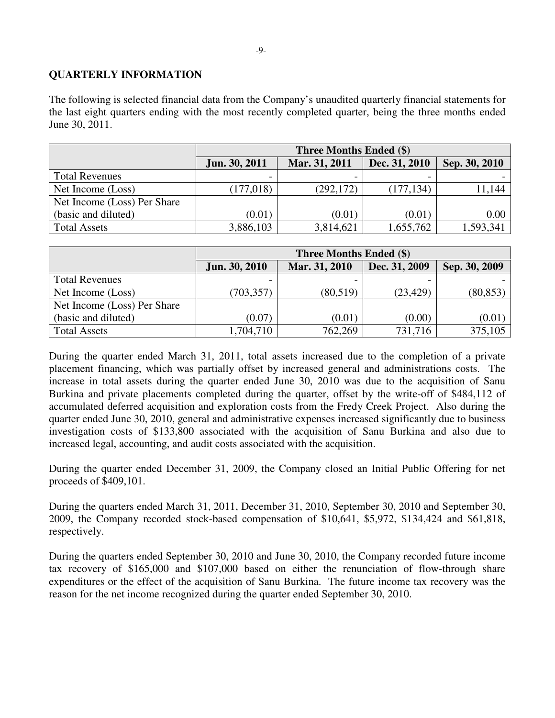# **QUARTERLY INFORMATION**

The following is selected financial data from the Company's unaudited quarterly financial statements for the last eight quarters ending with the most recently completed quarter, being the three months ended June 30, 2011.

|                             | <b>Three Months Ended (\$)</b> |               |               |               |  |  |
|-----------------------------|--------------------------------|---------------|---------------|---------------|--|--|
|                             | Jun. 30, 2011                  | Mar. 31, 2011 | Dec. 31, 2010 | Sep. 30, 2010 |  |  |
| <b>Total Revenues</b>       |                                |               |               |               |  |  |
| Net Income (Loss)           | (177, 018)                     | (292, 172)    | (177, 134)    | 11,144        |  |  |
| Net Income (Loss) Per Share |                                |               |               |               |  |  |
| (basic and diluted)         | (0.01)                         | (0.01)        | (0.01)        | 0.00          |  |  |
| <b>Total Assets</b>         | 3,886,103                      | 3,814,621     | 1,655,762     | 1,593,341     |  |  |

|                             | <b>Three Months Ended (\$)</b> |               |               |               |  |  |
|-----------------------------|--------------------------------|---------------|---------------|---------------|--|--|
|                             | Jun. 30, 2010                  | Mar. 31, 2010 | Dec. 31, 2009 | Sep. 30, 2009 |  |  |
| <b>Total Revenues</b>       |                                |               |               |               |  |  |
| Net Income (Loss)           | (703, 357)                     | (80, 519)     | (23, 429)     | (80, 853)     |  |  |
| Net Income (Loss) Per Share |                                |               |               |               |  |  |
| (basic and diluted)         | (0.07)                         | (0.01)        | (0.00)        | (0.01)        |  |  |
| <b>Total Assets</b>         | 1,704,710                      | 762,269       | 731,716       | 375,105       |  |  |

During the quarter ended March 31, 2011, total assets increased due to the completion of a private placement financing, which was partially offset by increased general and administrations costs. The increase in total assets during the quarter ended June 30, 2010 was due to the acquisition of Sanu Burkina and private placements completed during the quarter, offset by the write-off of \$484,112 of accumulated deferred acquisition and exploration costs from the Fredy Creek Project. Also during the quarter ended June 30, 2010, general and administrative expenses increased significantly due to business investigation costs of \$133,800 associated with the acquisition of Sanu Burkina and also due to increased legal, accounting, and audit costs associated with the acquisition.

During the quarter ended December 31, 2009, the Company closed an Initial Public Offering for net proceeds of \$409,101.

During the quarters ended March 31, 2011, December 31, 2010, September 30, 2010 and September 30, 2009, the Company recorded stock-based compensation of \$10,641, \$5,972, \$134,424 and \$61,818, respectively.

During the quarters ended September 30, 2010 and June 30, 2010, the Company recorded future income tax recovery of \$165,000 and \$107,000 based on either the renunciation of flow-through share expenditures or the effect of the acquisition of Sanu Burkina. The future income tax recovery was the reason for the net income recognized during the quarter ended September 30, 2010.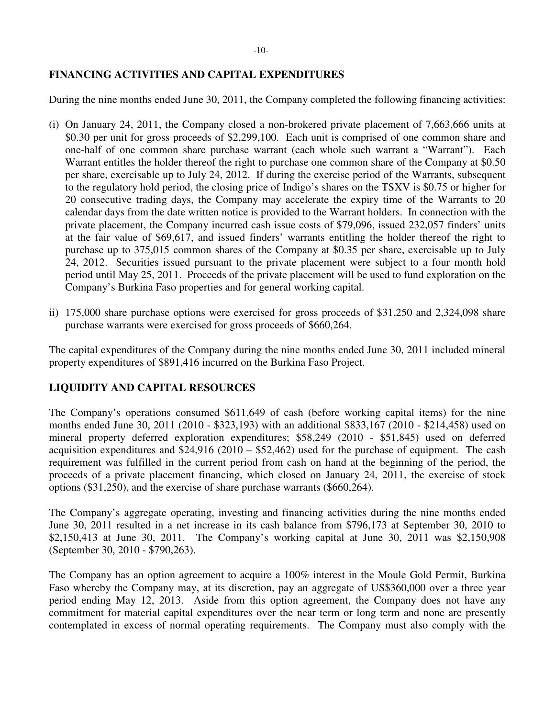# **FINANCING ACTIVITIES AND CAPITAL EXPENDITURES**

During the nine months ended June 30, 2011, the Company completed the following financing activities:

- (i) On January 24, 2011, the Company closed a non-brokered private placement of 7,663,666 units at \$0.30 per unit for gross proceeds of \$2,299,100. Each unit is comprised of one common share and one-half of one common share purchase warrant (each whole such warrant a "Warrant"). Each Warrant entitles the holder thereof the right to purchase one common share of the Company at \$0.50 per share, exercisable up to July 24, 2012. If during the exercise period of the Warrants, subsequent to the regulatory hold period, the closing price of Indigo's shares on the TSXV is \$0.75 or higher for 20 consecutive trading days, the Company may accelerate the expiry time of the Warrants to 20 calendar days from the date written notice is provided to the Warrant holders. In connection with the private placement, the Company incurred cash issue costs of \$79,096, issued 232,057 finders' units at the fair value of \$69,617, and issued finders' warrants entitling the holder thereof the right to purchase up to 375,015 common shares of the Company at \$0.35 per share, exercisable up to July 24, 2012. Securities issued pursuant to the private placement were subject to a four month hold period until May 25, 2011. Proceeds of the private placement will be used to fund exploration on the Company's Burkina Faso properties and for general working capital.
- ii) 175,000 share purchase options were exercised for gross proceeds of \$31,250 and 2,324,098 share purchase warrants were exercised for gross proceeds of \$660,264.

The capital expenditures of the Company during the nine months ended June 30, 2011 included mineral property expenditures of \$891,416 incurred on the Burkina Faso Project.

# **LIQUIDITY AND CAPITAL RESOURCES**

The Company's operations consumed \$611,649 of cash (before working capital items) for the nine months ended June 30, 2011 (2010 - \$323,193) with an additional \$833,167 (2010 - \$214,458) used on mineral property deferred exploration expenditures; \$58,249 (2010 - \$51,845) used on deferred acquisition expenditures and  $\frac{$24,916}{2010} - \frac{$52,462}{2010}$  used for the purchase of equipment. The cash requirement was fulfilled in the current period from cash on hand at the beginning of the period, the proceeds of a private placement financing, which closed on January 24, 2011, the exercise of stock options (\$31,250), and the exercise of share purchase warrants (\$660,264).

The Company's aggregate operating, investing and financing activities during the nine months ended June 30, 2011 resulted in a net increase in its cash balance from \$796,173 at September 30, 2010 to \$2,150,413 at June 30, 2011. The Company's working capital at June 30, 2011 was \$2,150,908 (September 30, 2010 - \$790,263).

The Company has an option agreement to acquire a 100% interest in the Moule Gold Permit, Burkina Faso whereby the Company may, at its discretion, pay an aggregate of US\$360,000 over a three year period ending May 12, 2013. Aside from this option agreement, the Company does not have any commitment for material capital expenditures over the near term or long term and none are presently contemplated in excess of normal operating requirements. The Company must also comply with the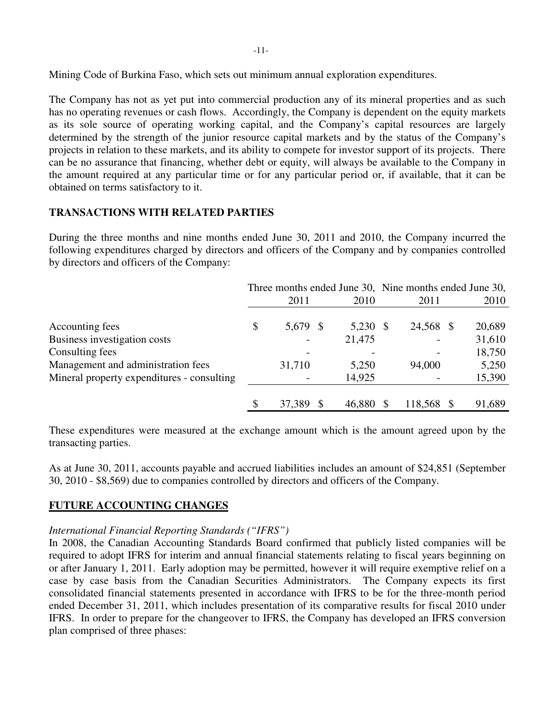Mining Code of Burkina Faso, which sets out minimum annual exploration expenditures.

The Company has not as yet put into commercial production any of its mineral properties and as such has no operating revenues or cash flows. Accordingly, the Company is dependent on the equity markets as its sole source of operating working capital, and the Company's capital resources are largely determined by the strength of the junior resource capital markets and by the status of the Company's projects in relation to these markets, and its ability to compete for investor support of its projects. There can be no assurance that financing, whether debt or equity, will always be available to the Company in the amount required at any particular time or for any particular period or, if available, that it can be obtained on terms satisfactory to it.

### **TRANSACTIONS WITH RELATED PARTIES**

During the three months and nine months ended June 30, 2011 and 2010, the Company incurred the following expenditures charged by directors and officers of the Company and by companies controlled by directors and officers of the Company:

|                                            | Three months ended June 30, Nine months ended June 30, |          |  |          |  |           |  |        |
|--------------------------------------------|--------------------------------------------------------|----------|--|----------|--|-----------|--|--------|
|                                            |                                                        | 2011     |  | 2010     |  | 2011      |  | 2010   |
|                                            |                                                        |          |  |          |  |           |  |        |
| Accounting fees                            | \$                                                     | 5,679 \$ |  | 5,230 \$ |  | 24,568 \$ |  | 20,689 |
| Business investigation costs               |                                                        |          |  | 21,475   |  |           |  | 31,610 |
| Consulting fees                            |                                                        |          |  |          |  |           |  | 18,750 |
| Management and administration fees         |                                                        | 31,710   |  | 5,250    |  | 94,000    |  | 5,250  |
| Mineral property expenditures - consulting |                                                        |          |  | 14,925   |  |           |  | 15,390 |
|                                            |                                                        |          |  |          |  |           |  |        |
|                                            |                                                        | 37,389   |  | 46,880   |  | 118,568   |  | 91,689 |

These expenditures were measured at the exchange amount which is the amount agreed upon by the transacting parties.

As at June 30, 2011, accounts payable and accrued liabilities includes an amount of \$24,851 (September 30, 2010 - \$8,569) due to companies controlled by directors and officers of the Company.

### **FUTURE ACCOUNTING CHANGES**

### *International Financial Reporting Standards ("IFRS")*

In 2008, the Canadian Accounting Standards Board confirmed that publicly listed companies will be required to adopt IFRS for interim and annual financial statements relating to fiscal years beginning on or after January 1, 2011. Early adoption may be permitted, however it will require exemptive relief on a case by case basis from the Canadian Securities Administrators. The Company expects its first consolidated financial statements presented in accordance with IFRS to be for the three-month period ended December 31, 2011, which includes presentation of its comparative results for fiscal 2010 under IFRS. In order to prepare for the changeover to IFRS, the Company has developed an IFRS conversion plan comprised of three phases: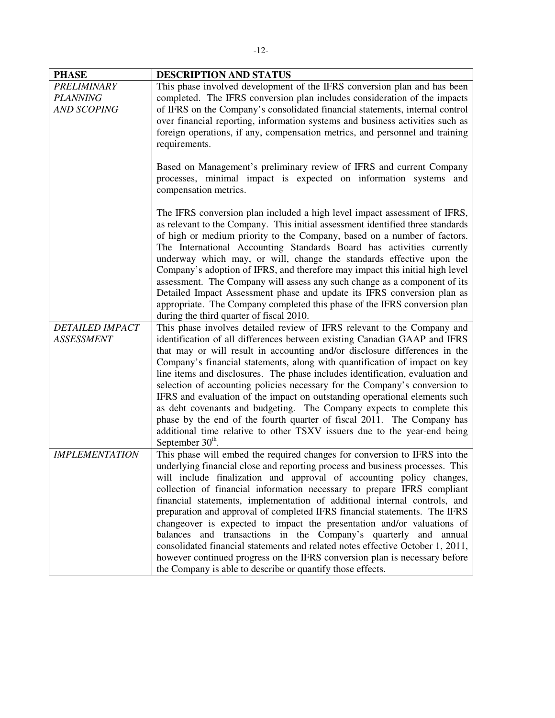| <b>PHASE</b>           | DESCRIPTION AND STATUS                                                                                                                                                                                                                                                                                                                                                                                                                                                                                                                                                                                                                                                                                                                                    |
|------------------------|-----------------------------------------------------------------------------------------------------------------------------------------------------------------------------------------------------------------------------------------------------------------------------------------------------------------------------------------------------------------------------------------------------------------------------------------------------------------------------------------------------------------------------------------------------------------------------------------------------------------------------------------------------------------------------------------------------------------------------------------------------------|
| <b>PRELIMINARY</b>     | This phase involved development of the IFRS conversion plan and has been                                                                                                                                                                                                                                                                                                                                                                                                                                                                                                                                                                                                                                                                                  |
| <b>PLANNING</b>        | completed. The IFRS conversion plan includes consideration of the impacts                                                                                                                                                                                                                                                                                                                                                                                                                                                                                                                                                                                                                                                                                 |
| <b>AND SCOPING</b>     | of IFRS on the Company's consolidated financial statements, internal control<br>over financial reporting, information systems and business activities such as<br>foreign operations, if any, compensation metrics, and personnel and training<br>requirements.                                                                                                                                                                                                                                                                                                                                                                                                                                                                                            |
|                        | Based on Management's preliminary review of IFRS and current Company<br>processes, minimal impact is expected on information systems and<br>compensation metrics.                                                                                                                                                                                                                                                                                                                                                                                                                                                                                                                                                                                         |
|                        | The IFRS conversion plan included a high level impact assessment of IFRS,<br>as relevant to the Company. This initial assessment identified three standards<br>of high or medium priority to the Company, based on a number of factors.<br>The International Accounting Standards Board has activities currently<br>underway which may, or will, change the standards effective upon the<br>Company's adoption of IFRS, and therefore may impact this initial high level<br>assessment. The Company will assess any such change as a component of its<br>Detailed Impact Assessment phase and update its IFRS conversion plan as<br>appropriate. The Company completed this phase of the IFRS conversion plan<br>during the third quarter of fiscal 2010. |
| <b>DETAILED IMPACT</b> | This phase involves detailed review of IFRS relevant to the Company and                                                                                                                                                                                                                                                                                                                                                                                                                                                                                                                                                                                                                                                                                   |
| <b>ASSESSMENT</b>      | identification of all differences between existing Canadian GAAP and IFRS                                                                                                                                                                                                                                                                                                                                                                                                                                                                                                                                                                                                                                                                                 |
|                        | that may or will result in accounting and/or disclosure differences in the                                                                                                                                                                                                                                                                                                                                                                                                                                                                                                                                                                                                                                                                                |
|                        | Company's financial statements, along with quantification of impact on key                                                                                                                                                                                                                                                                                                                                                                                                                                                                                                                                                                                                                                                                                |
|                        | line items and disclosures. The phase includes identification, evaluation and                                                                                                                                                                                                                                                                                                                                                                                                                                                                                                                                                                                                                                                                             |
|                        | selection of accounting policies necessary for the Company's conversion to                                                                                                                                                                                                                                                                                                                                                                                                                                                                                                                                                                                                                                                                                |
|                        | IFRS and evaluation of the impact on outstanding operational elements such                                                                                                                                                                                                                                                                                                                                                                                                                                                                                                                                                                                                                                                                                |
|                        | as debt covenants and budgeting. The Company expects to complete this<br>phase by the end of the fourth quarter of fiscal 2011. The Company has                                                                                                                                                                                                                                                                                                                                                                                                                                                                                                                                                                                                           |
|                        | additional time relative to other TSXV issuers due to the year-end being                                                                                                                                                                                                                                                                                                                                                                                                                                                                                                                                                                                                                                                                                  |
|                        | September 30 <sup>th</sup> .                                                                                                                                                                                                                                                                                                                                                                                                                                                                                                                                                                                                                                                                                                                              |
| <b>IMPLEMENTATION</b>  | This phase will embed the required changes for conversion to IFRS into the                                                                                                                                                                                                                                                                                                                                                                                                                                                                                                                                                                                                                                                                                |
|                        | underlying financial close and reporting process and business processes. This                                                                                                                                                                                                                                                                                                                                                                                                                                                                                                                                                                                                                                                                             |
|                        | will include finalization and approval of accounting policy changes,                                                                                                                                                                                                                                                                                                                                                                                                                                                                                                                                                                                                                                                                                      |
|                        | collection of financial information necessary to prepare IFRS compliant                                                                                                                                                                                                                                                                                                                                                                                                                                                                                                                                                                                                                                                                                   |
|                        | financial statements, implementation of additional internal controls, and                                                                                                                                                                                                                                                                                                                                                                                                                                                                                                                                                                                                                                                                                 |
|                        | preparation and approval of completed IFRS financial statements. The IFRS<br>changeover is expected to impact the presentation and/or valuations of                                                                                                                                                                                                                                                                                                                                                                                                                                                                                                                                                                                                       |
|                        | balances and transactions in the Company's quarterly and annual                                                                                                                                                                                                                                                                                                                                                                                                                                                                                                                                                                                                                                                                                           |
|                        | consolidated financial statements and related notes effective October 1, 2011,                                                                                                                                                                                                                                                                                                                                                                                                                                                                                                                                                                                                                                                                            |
|                        | however continued progress on the IFRS conversion plan is necessary before                                                                                                                                                                                                                                                                                                                                                                                                                                                                                                                                                                                                                                                                                |
|                        | the Company is able to describe or quantify those effects.                                                                                                                                                                                                                                                                                                                                                                                                                                                                                                                                                                                                                                                                                                |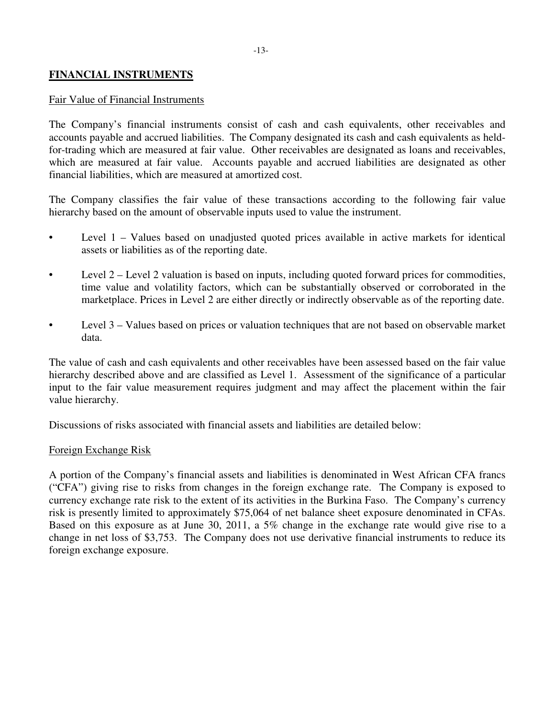# **FINANCIAL INSTRUMENTS**

#### Fair Value of Financial Instruments

The Company's financial instruments consist of cash and cash equivalents, other receivables and accounts payable and accrued liabilities. The Company designated its cash and cash equivalents as heldfor-trading which are measured at fair value. Other receivables are designated as loans and receivables, which are measured at fair value. Accounts payable and accrued liabilities are designated as other financial liabilities, which are measured at amortized cost.

The Company classifies the fair value of these transactions according to the following fair value hierarchy based on the amount of observable inputs used to value the instrument.

- Level 1 Values based on unadjusted quoted prices available in active markets for identical assets or liabilities as of the reporting date.
- Level 2 Level 2 valuation is based on inputs, including quoted forward prices for commodities, time value and volatility factors, which can be substantially observed or corroborated in the marketplace. Prices in Level 2 are either directly or indirectly observable as of the reporting date.
- Level 3 Values based on prices or valuation techniques that are not based on observable market data.

The value of cash and cash equivalents and other receivables have been assessed based on the fair value hierarchy described above and are classified as Level 1. Assessment of the significance of a particular input to the fair value measurement requires judgment and may affect the placement within the fair value hierarchy.

Discussions of risks associated with financial assets and liabilities are detailed below:

#### Foreign Exchange Risk

A portion of the Company's financial assets and liabilities is denominated in West African CFA francs ("CFA") giving rise to risks from changes in the foreign exchange rate. The Company is exposed to currency exchange rate risk to the extent of its activities in the Burkina Faso. The Company's currency risk is presently limited to approximately \$75,064 of net balance sheet exposure denominated in CFAs. Based on this exposure as at June 30, 2011, a 5% change in the exchange rate would give rise to a change in net loss of \$3,753. The Company does not use derivative financial instruments to reduce its foreign exchange exposure.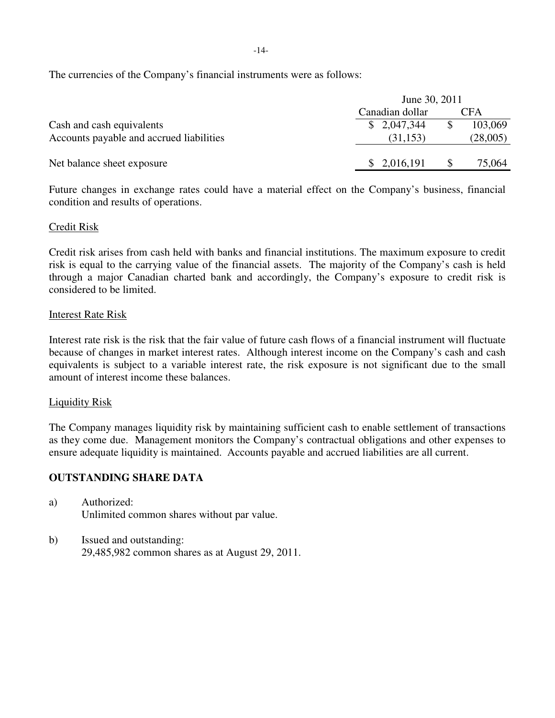The currencies of the Company's financial instruments were as follows:

|                                          | June 30, 2011   |  |            |
|------------------------------------------|-----------------|--|------------|
|                                          | Canadian dollar |  | <b>CFA</b> |
| Cash and cash equivalents                | \$2,047,344     |  | 103,069    |
| Accounts payable and accrued liabilities | (31, 153)       |  | (28,005)   |
|                                          |                 |  |            |
| Net balance sheet exposure               | \$2,016,191     |  | 75,064     |

Future changes in exchange rates could have a material effect on the Company's business, financial condition and results of operations.

# Credit Risk

Credit risk arises from cash held with banks and financial institutions. The maximum exposure to credit risk is equal to the carrying value of the financial assets. The majority of the Company's cash is held through a major Canadian charted bank and accordingly, the Company's exposure to credit risk is considered to be limited.

### Interest Rate Risk

Interest rate risk is the risk that the fair value of future cash flows of a financial instrument will fluctuate because of changes in market interest rates. Although interest income on the Company's cash and cash equivalents is subject to a variable interest rate, the risk exposure is not significant due to the small amount of interest income these balances.

### Liquidity Risk

The Company manages liquidity risk by maintaining sufficient cash to enable settlement of transactions as they come due. Management monitors the Company's contractual obligations and other expenses to ensure adequate liquidity is maintained. Accounts payable and accrued liabilities are all current.

### **OUTSTANDING SHARE DATA**

- a) Authorized: Unlimited common shares without par value.
- b) Issued and outstanding: 29,485,982 common shares as at August 29, 2011.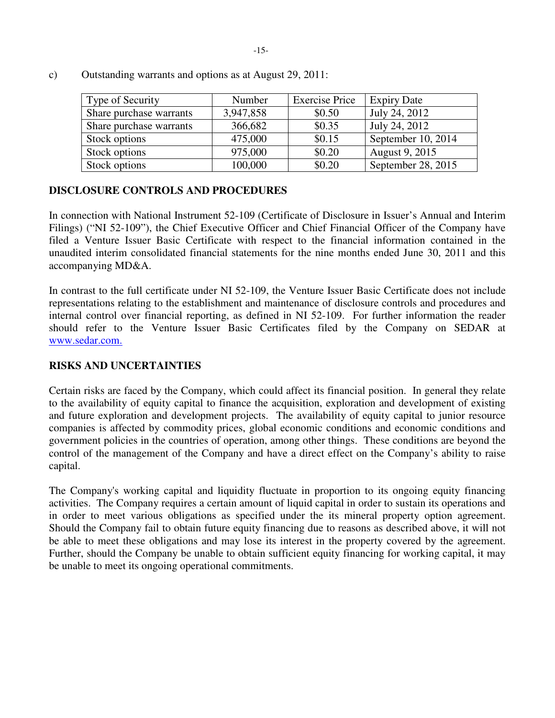| Type of Security        | Number    | <b>Exercise Price</b> | <b>Expiry Date</b> |
|-------------------------|-----------|-----------------------|--------------------|
| Share purchase warrants | 3,947,858 | \$0.50                | July 24, 2012      |
| Share purchase warrants | 366,682   | \$0.35                | July 24, 2012      |
| Stock options           | 475,000   | \$0.15                | September 10, 2014 |
| Stock options           | 975,000   | \$0.20                | August 9, 2015     |
| Stock options           | 100,000   | \$0.20                | September 28, 2015 |

c) Outstanding warrants and options as at August 29, 2011:

# **DISCLOSURE CONTROLS AND PROCEDURES**

In connection with National Instrument 52-109 (Certificate of Disclosure in Issuer's Annual and Interim Filings) ("NI 52-109"), the Chief Executive Officer and Chief Financial Officer of the Company have filed a Venture Issuer Basic Certificate with respect to the financial information contained in the unaudited interim consolidated financial statements for the nine months ended June 30, 2011 and this accompanying MD&A.

In contrast to the full certificate under NI 52-109, the Venture Issuer Basic Certificate does not include representations relating to the establishment and maintenance of disclosure controls and procedures and internal control over financial reporting, as defined in NI 52-109. For further information the reader should refer to the Venture Issuer Basic Certificates filed by the Company on SEDAR at www.sedar.com.

# **RISKS AND UNCERTAINTIES**

Certain risks are faced by the Company, which could affect its financial position. In general they relate to the availability of equity capital to finance the acquisition, exploration and development of existing and future exploration and development projects. The availability of equity capital to junior resource companies is affected by commodity prices, global economic conditions and economic conditions and government policies in the countries of operation, among other things. These conditions are beyond the control of the management of the Company and have a direct effect on the Company's ability to raise capital.

The Company's working capital and liquidity fluctuate in proportion to its ongoing equity financing activities. The Company requires a certain amount of liquid capital in order to sustain its operations and in order to meet various obligations as specified under the its mineral property option agreement. Should the Company fail to obtain future equity financing due to reasons as described above, it will not be able to meet these obligations and may lose its interest in the property covered by the agreement. Further, should the Company be unable to obtain sufficient equity financing for working capital, it may be unable to meet its ongoing operational commitments.